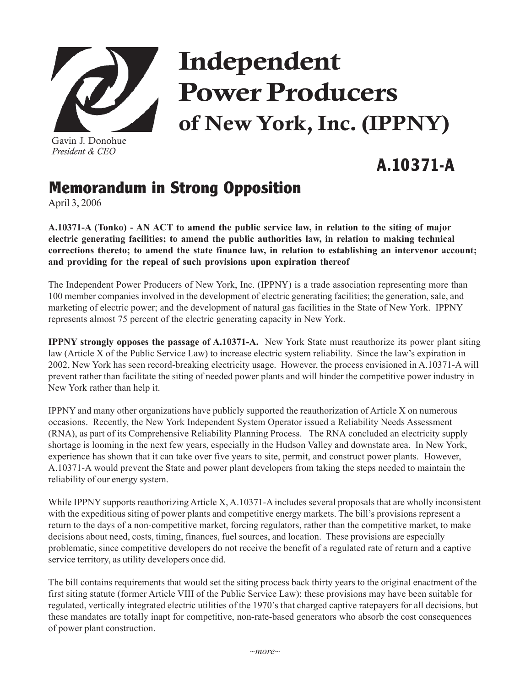

Gavin J. Donohue *President & CEO*

## Independent Power Producers of New York, Inc. (IPPNY)

## **A.10371-A**

## **Memorandum in Strong Opposition**

April 3, 2006

**A.10371-A (Tonko) - AN ACT to amend the public service law, in relation to the siting of major electric generating facilities; to amend the public authorities law, in relation to making technical corrections thereto; to amend the state finance law, in relation to establishing an intervenor account; and providing for the repeal of such provisions upon expiration thereof**

The Independent Power Producers of New York, Inc. (IPPNY) is a trade association representing more than 100 member companies involved in the development of electric generating facilities; the generation, sale, and marketing of electric power; and the development of natural gas facilities in the State of New York. IPPNY represents almost 75 percent of the electric generating capacity in New York.

**IPPNY strongly opposes the passage of A.10371-A.** New York State must reauthorize its power plant siting law (Article X of the Public Service Law) to increase electric system reliability. Since the law's expiration in 2002, New York has seen record-breaking electricity usage. However, the process envisioned in A.10371-A will prevent rather than facilitate the siting of needed power plants and will hinder the competitive power industry in New York rather than help it.

IPPNY and many other organizations have publicly supported the reauthorization of Article X on numerous occasions. Recently, the New York Independent System Operator issued a Reliability Needs Assessment (RNA), as part of its Comprehensive Reliability Planning Process. The RNA concluded an electricity supply shortage is looming in the next few years, especially in the Hudson Valley and downstate area. In New York, experience has shown that it can take over five years to site, permit, and construct power plants. However, A.10371-A would prevent the State and power plant developers from taking the steps needed to maintain the reliability of our energy system.

While IPPNY supports reauthorizing Article X, A.10371-A includes several proposals that are wholly inconsistent with the expeditious siting of power plants and competitive energy markets. The bill's provisions represent a return to the days of a non-competitive market, forcing regulators, rather than the competitive market, to make decisions about need, costs, timing, finances, fuel sources, and location. These provisions are especially problematic, since competitive developers do not receive the benefit of a regulated rate of return and a captive service territory, as utility developers once did.

The bill contains requirements that would set the siting process back thirty years to the original enactment of the first siting statute (former Article VIII of the Public Service Law); these provisions may have been suitable for regulated, vertically integrated electric utilities of the 1970's that charged captive ratepayers for all decisions, but these mandates are totally inapt for competitive, non-rate-based generators who absorb the cost consequences of power plant construction.